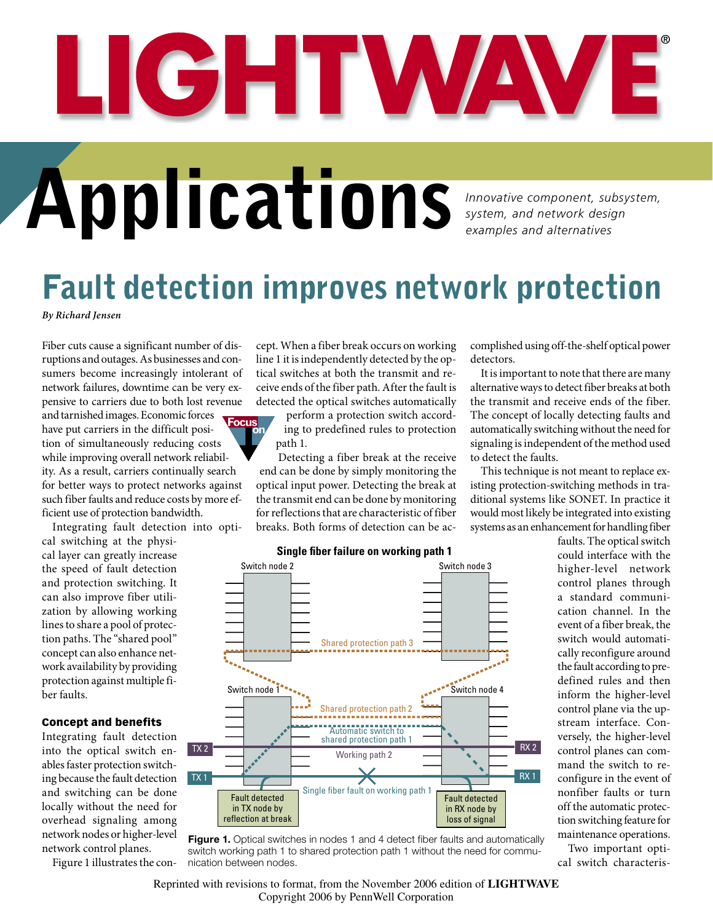# LIGHTWAV

## **Application**<br>**Innovative component, subsystem, and network design**

*system, and network design examples and alternatives*

## Fault detection improves network protection

*By Richard Jensen*

Fiber cuts cause a significant number of disruptions and outages. As businesses and consumers become increasingly intolerant of network failures, downtime can be very expensive to carriers due to both lost revenue

and tarnished images. Economic forces have put carriers in the difficult position of simultaneously reducing costs while improving overall network reliability. As a result, carriers continually search for better ways to protect networks against such fiber faults and reduce costs by more efficient use of protection bandwidth. **Focus on**

Integrating fault detection into opti-

cal switching at the physical layer can greatly increase the speed of fault detection and protection switching. It can also improve fiber utilization by allowing working lines to share a pool of protection paths. The "shared pool" concept can also enhance network availability by providing protection against multiple fiber faults.

#### Concept and benefits

Integrating fault detection into the optical switch enables faster protection switching because the fault detection and switching can be done locally without the need for overhead signaling among network nodes or higher-level network control planes.

Figure 1 illustrates the con-

cept. When a fiber break occurs on working line 1 it is independently detected by the optical switches at both the transmit and receive ends of the fiber path. After the fault is detected the optical switches automatically

perform a protection switch according to predefined rules to protection path 1.

Detecting a fiber break at the receive end can be done by simply monitoring the optical input power. Detecting the break at the transmit end can be done by monitoring for reflections that are characteristic of fiber breaks. Both forms of detection can be accomplished using off-the-shelf optical power detectors.

It is important to note that there are many alternative ways to detect fiber breaks at both the transmit and receive ends of the fiber. The concept of locally detecting faults and automatically switching without the need for signaling is independent of the method used to detect the faults.

This technique is not meant to replace existing protection-switching methods in traditional systems like SONET. In practice it would most likely be integrated into existing systems as an enhancement for handling fiber

> could interface with the higher-level network control planes through a standard communication channel. In the event of a fiber break, the switch would automatically reconfigure around the fault according to predefined rules and then inform the higher-level control plane via the upstream interface. Conversely, the higher-level control planes can command the switch to reconfigure in the event of nonfiber faults or turn off the automatic protection switching feature for maintenance operations.

faults. The optical switch

Two important optical switch characteris-



#### **Single fiber failure on working path 1**

Reprinted with revisions to format, from the November 2006 edition of **LIGHTWAVE** Copyright 2006 by PennWell Corporation

**Figure 1.** Optical switches in nodes 1 and 4 detect fiber faults and automatically switch working path 1 to shared protection path 1 without the need for communication between nodes.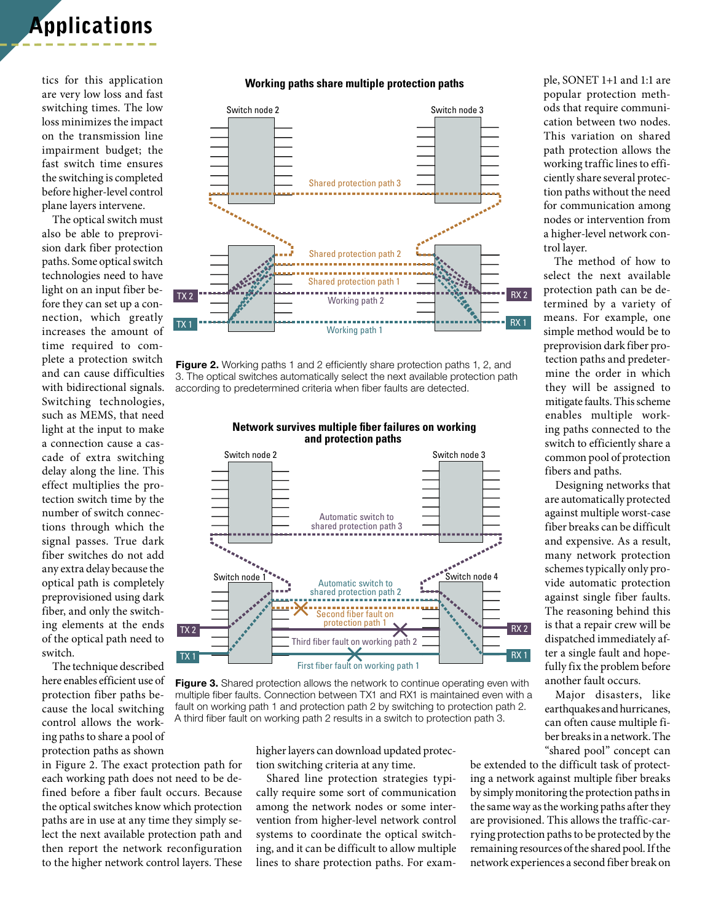### Applications

tics for this application are very low loss and fast switching times. The low loss minimizes the impact on the transmission line impairment budget; the fast switch time ensures the switching is completed before higher-level control plane layers intervene.

The optical switch must also be able to preprovision dark fiber protection paths. Some optical switch technologies need to have light on an input fiber before they can set up a connection, which greatly increases the amount of time required to complete a protection switch and can cause difficulties with bidirectional signals. Switching technologies, such as MEMS, that need light at the input to make a connection cause a cascade of extra switching delay along the line. This effect multiplies the protection switch time by the number of switch connections through which the signal passes. True dark fiber switches do not add any extra delay because the optical path is completely preprovisioned using dark fiber, and only the switching elements at the ends of the optical path need to switch.

The technique described here enables efficient use of protection fiber paths because the local switching control allows the working paths to share a pool of protection paths as shown

in Figure 2. The exact protection path for each working path does not need to be defined before a fiber fault occurs. Because the optical switches know which protection paths are in use at any time they simply select the next available protection path and then report the network reconfiguration to the higher network control layers. These

#### **Working paths share multiple protection paths**



Figure 2. Working paths 1 and 2 efficiently share protection paths 1, 2, and 3. The optical switches automatically select the next available protection path according to predetermined criteria when fiber faults are detected.



**Network survives multiple fiber failures on working and protection paths** 

Figure 3. Shared protection allows the network to continue operating even with multiple fiber faults. Connection between TX1 and RX1 is maintained even with a fault on working path 1 and protection path 2 by switching to protection path 2. A third fiber fault on working path 2 results in a switch to protection path 3.

higher layers can download updated protection switching criteria at any time.

Shared line protection strategies typically require some sort of communication among the network nodes or some intervention from higher-level network control systems to coordinate the optical switching, and it can be difficult to allow multiple lines to share protection paths. For example, SONET 1+1 and 1:1 are popular protection methods that require communication between two nodes. This variation on shared path protection allows the working traffic lines to efficiently share several protection paths without the need for communication among nodes or intervention from a higher-level network control layer.

The method of how to select the next available protection path can be determined by a variety of means. For example, one simple method would be to preprovision dark fiber protection paths and predetermine the order in which they will be assigned to mitigate faults. This scheme enables multiple working paths connected to the switch to efficiently share a common pool of protection fibers and paths.

Designing networks that are automatically protected against multiple worst-case fiber breaks can be difficult and expensive. As a result, many network protection schemes typically only provide automatic protection against single fiber faults. The reasoning behind this is that a repair crew will be dispatched immediately after a single fault and hopefully fix the problem before another fault occurs.

Major disasters, like earthquakes and hurricanes, can often cause multiple fiber breaks in a network. The "shared pool" concept can

ne. be extended to the difficult task of protecting a network against multiple fiber breaks by simply monitoring the protection paths in the same way as the working paths after they are provisioned. This allows the traffic-carrying protection paths to be protected by the remaining resources of the shared pool. If the network experiences a second fiber break on